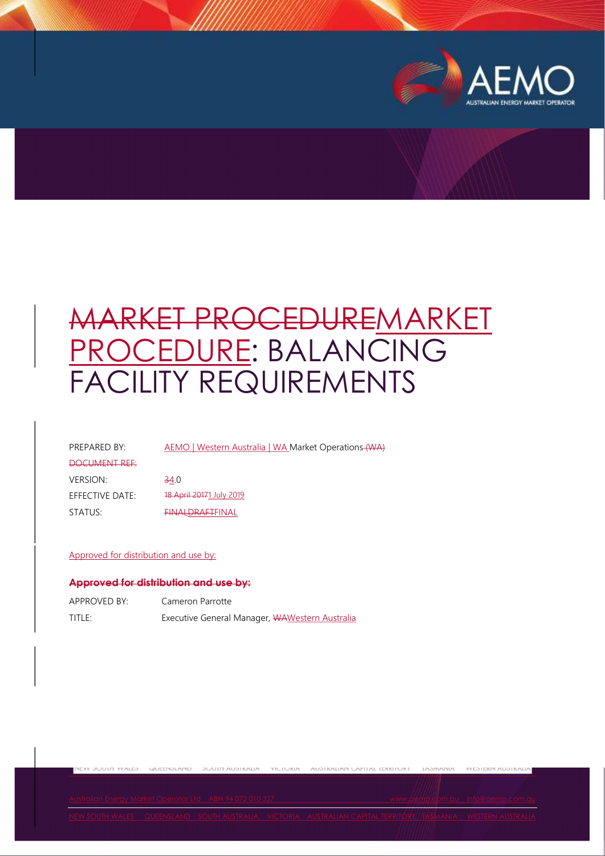

**YVESTEKIN AUSTRALIA** 

# MARKET PROCEDUREMARKET PROCEDURE: BALANCING FACILITY REQUIREMENTS

PREPARED BY: AEMO | Western Australia | WA Market Operations (WA)

#### DOCUMENT REF:

**NEW SUUIT WALES** 

VERSION: 34.0 EFFECTIVE DATE: 18 April 20171 July 2019 STATUS: FINALDRAFTFINAL

#### Approved for distribution and use by:

#### Approved for distribution and use by:

| APPROVED BY: | Cameron Parrotte                               |
|--------------|------------------------------------------------|
| title:       | Executive General Manager, WAWestern Australia |

WUEENSLAND

SUUTII AUSTRALIA YIUTUKIA AUSTRALIAN UAPITAL TEKKITUKT TASMANIA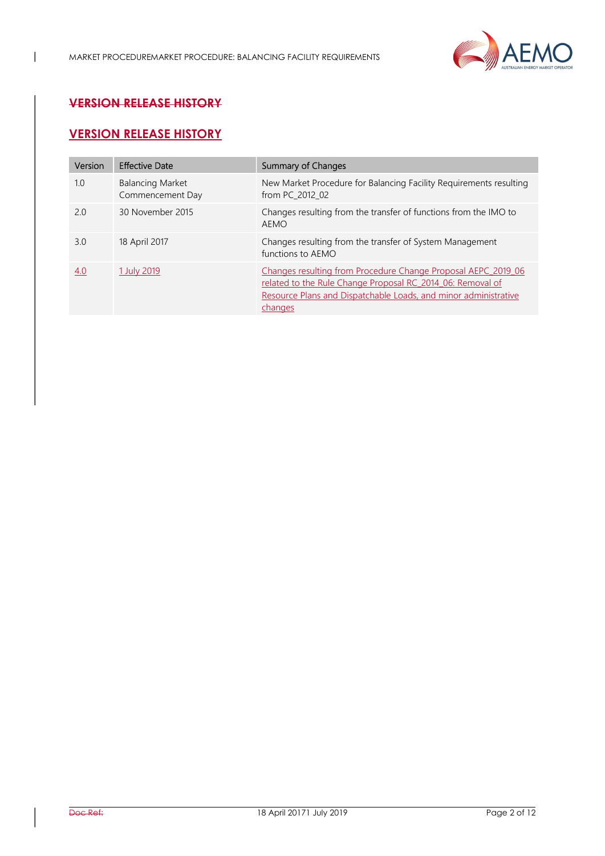

# VERSION RELEASE HISTORY

 $\overline{\phantom{a}}$ 

# VERSION RELEASE HISTORY

| Version | <b>Effective Date</b>                       | <b>Summary of Changes</b>                                                                                                                                                                                 |
|---------|---------------------------------------------|-----------------------------------------------------------------------------------------------------------------------------------------------------------------------------------------------------------|
| 1.0     | <b>Balancing Market</b><br>Commencement Day | New Market Procedure for Balancing Facility Requirements resulting<br>from PC 2012 02                                                                                                                     |
| 2.0     | 30 November 2015                            | Changes resulting from the transfer of functions from the IMO to<br>AEMO                                                                                                                                  |
| 3.0     | 18 April 2017                               | Changes resulting from the transfer of System Management<br>functions to AEMO                                                                                                                             |
| 4.0     | 1 July 2019                                 | Changes resulting from Procedure Change Proposal AEPC 2019 06<br>related to the Rule Change Proposal RC 2014 06: Removal of<br>Resource Plans and Dispatchable Loads, and minor administrative<br>changes |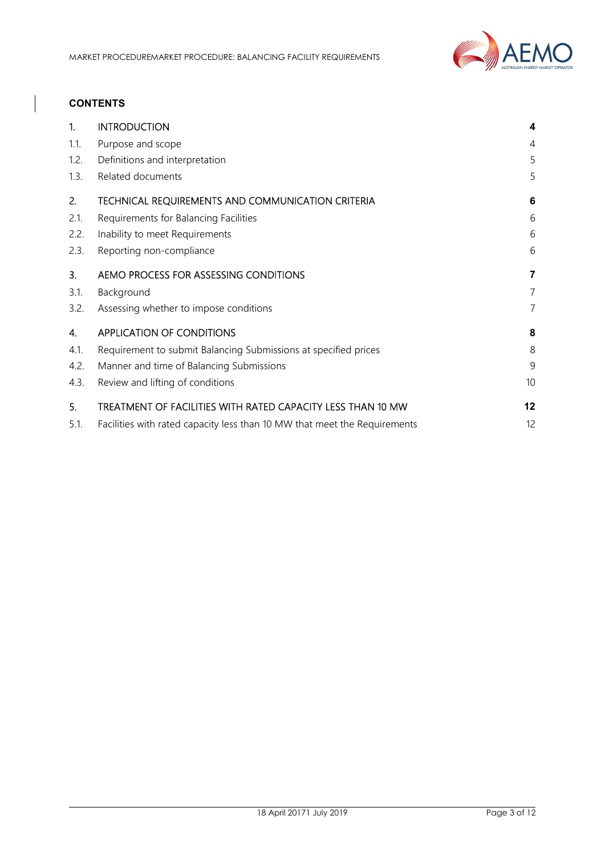

## **CONTENTS**

| 1.   | <b>INTRODUCTION</b>                                                       | 4              |
|------|---------------------------------------------------------------------------|----------------|
| 1.1. | Purpose and scope                                                         | $\overline{4}$ |
| 1.2. | Definitions and interpretation                                            | 5              |
| 1.3. | Related documents                                                         | 5              |
| 2.   | TECHNICAL REQUIREMENTS AND COMMUNICATION CRITERIA                         | 6              |
| 2.1. | Requirements for Balancing Facilities                                     | 6              |
| 2.2. | Inability to meet Requirements                                            | 6              |
| 2.3. | Reporting non-compliance                                                  | 6              |
| 3.   | AEMO PROCESS FOR ASSESSING CONDITIONS                                     | 7              |
| 3.1. | Background                                                                | 7              |
| 3.2. | Assessing whether to impose conditions                                    | 7              |
| 4.   | <b>APPLICATION OF CONDITIONS</b>                                          | 8              |
| 4.1. | Requirement to submit Balancing Submissions at specified prices           | 8              |
| 4.2. | Manner and time of Balancing Submissions                                  | 9              |
| 4.3. | Review and lifting of conditions                                          | 10             |
| 5.   | TREATMENT OF FACILITIES WITH RATED CAPACITY LESS THAN 10 MW               | 12             |
| 5.1. | Facilities with rated capacity less than 10 MW that meet the Requirements | 12             |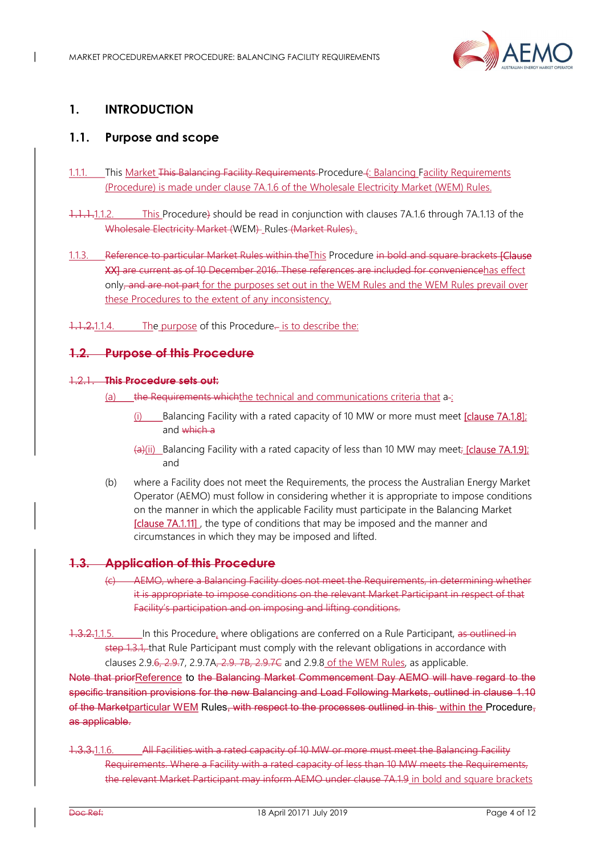

# 1. INTRODUCTION

 $\overline{\phantom{a}}$ 

# 1.1. Purpose and scope

- 1.1.1. This Market This Balancing Facility Requirements Procedure (: Balancing Facility Requirements (Procedure) is made under clause 7A.1.6 of the Wholesale Electricity Market (WEM) Rules.
- 1.1.1.1.1.2. This Procedure) should be read in conjunction with clauses 7A.1.6 through 7A.1.13 of the Wholesale Electricity Market (WEM) Rules (Market Rules)...
- 1.1.3. Reference to particular Market Rules within the This Procedure in bold and square brackets [Clause] XX] are current as of 10 December 2016. These references are included for conveniencehas effect only, and are not part for the purposes set out in the WEM Rules and the WEM Rules prevail over these Procedures to the extent of any inconsistency.
- 1.1.2.1.1.4. The purpose of this Procedure. is to describe the:

### 1.2. Purpose of this Procedure

#### 1.2.1. This Procedure sets out:

- (a) the Requirements which the technical and communications criteria that  $a$ -:
	- Balancing Facility with a rated capacity of 10 MW or more must meet [clause 7A.1.8]; and which a
	- $\left(\frac{1}{2}\right)$  Balancing Facility with a rated capacity of less than 10 MW may meet; [clause 7A.1.9]; and
- (b) where a Facility does not meet the Requirements, the process the Australian Energy Market Operator (AEMO) must follow in considering whether it is appropriate to impose conditions on the manner in which the applicable Facility must participate in the Balancing Market [clause 7A.1.11], the type of conditions that may be imposed and the manner and circumstances in which they may be imposed and lifted.

## 1.3. Application of this Procedure

- (c) AEMO, where a Balancing Facility does not meet the Requirements, in determining whether it is appropriate to impose conditions on the relevant Market Participant in respect of that Facility's participation and on imposing and lifting conditions.
- 1.3.2.1.1.5. In this Procedure, where obligations are conferred on a Rule Participant, as outlined in step 1.3.1, that Rule Participant must comply with the relevant obligations in accordance with clauses 2.9.6, 2.9.7, 2.9.7A,  $-2.9$ ,  $-7B$ ,  $-2.9$ ,  $-7C$  and 2.9.8 of the WEM Rules, as applicable.

Note that priorReference to the Balancing Market Commencement Day AEMO will have regard to the specific transition provisions for the new Balancing and Load Following Markets, outlined in clause 1.10 of the Marketparticular WEM Rules, with respect to the processes outlined in this within the Procedure, as applicable.

1.3.3.1.1.6. All Facilities with a rated capacity of 10 MW or more must meet the Balancing Facility Requirements. Where a Facility with a rated capacity of less than 10 MW meets the Requirements, the relevant Market Participant may inform AEMO under clause 7A.1.9 in bold and square brackets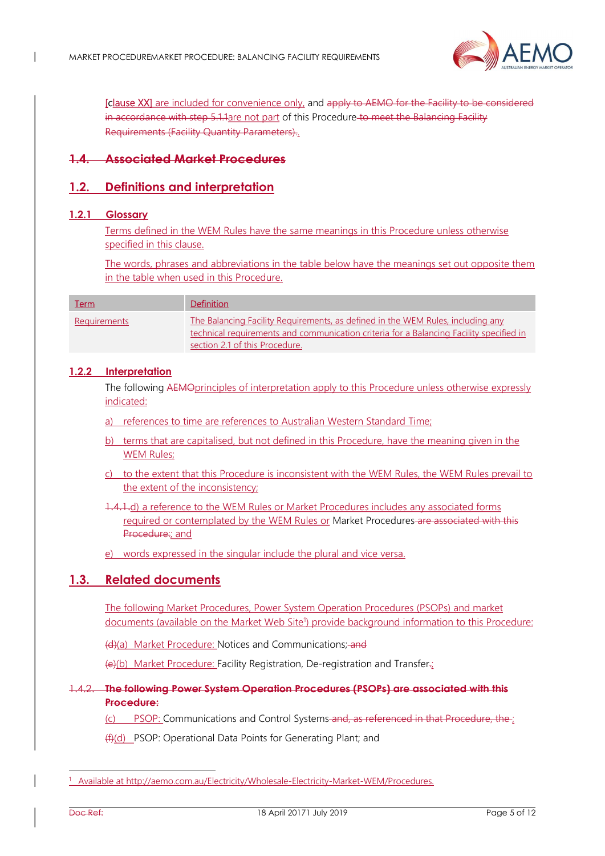

[clause XX] are included for convenience only, and apply to AEMO for the Facility to be considered in accordance with step 5.1.1are not part of this Procedure to meet the Balancing Facility Requirements (Facility Quantity Parameters)..

## 1.4. Associated Market Procedures

## 1.2. Definitions and interpretation

#### 1.2.1 Glossary

Terms defined in the WEM Rules have the same meanings in this Procedure unless otherwise specified in this clause.

The words, phrases and abbreviations in the table below have the meanings set out opposite them in the table when used in this Procedure.

| <u>Term</u>         | <b>Definition</b>                                                                                                                                                                                            |
|---------------------|--------------------------------------------------------------------------------------------------------------------------------------------------------------------------------------------------------------|
| <b>Requirements</b> | The Balancing Facility Requirements, as defined in the WEM Rules, including any<br>technical requirements and communication criteria for a Balancing Facility specified in<br>section 2.1 of this Procedure. |

#### 1.2.2 Interpretation

The following AEMOprinciples of interpretation apply to this Procedure unless otherwise expressly indicated:

- a) references to time are references to Australian Western Standard Time;
- b) terms that are capitalised, but not defined in this Procedure, have the meaning given in the WEM Rules;
- c) to the extent that this Procedure is inconsistent with the WEM Rules, the WEM Rules prevail to the extent of the inconsistency;

1.4.1.d) a reference to the WEM Rules or Market Procedures includes any associated forms required or contemplated by the WEM Rules or Market Procedures are associated with this Procedure: and

e) words expressed in the singular include the plural and vice versa.

## 1.3. Related documents

The following Market Procedures, Power System Operation Procedures (PSOPs) and market documents (available on the Market Web Site<sup>1</sup>) provide background information to this Procedure:

(d)(a) Market Procedure: Notices and Communications; and

(e)(b) Market Procedure: Facility Registration, De-registration and Transfer.;

#### 1.4.2. The following Power System Operation Procedures (PSOPs) are associated with this Procedure:

(c) PSOP: Communications and Control Systems and, as referenced in that Procedure, the ;

(f)(d) PSOP: Operational Data Points for Generating Plant; and

-

<sup>&</sup>lt;sup>1</sup> Available at http://aemo.com.au/Electricity/Wholesale-Electricity-Market-WEM/Procedures.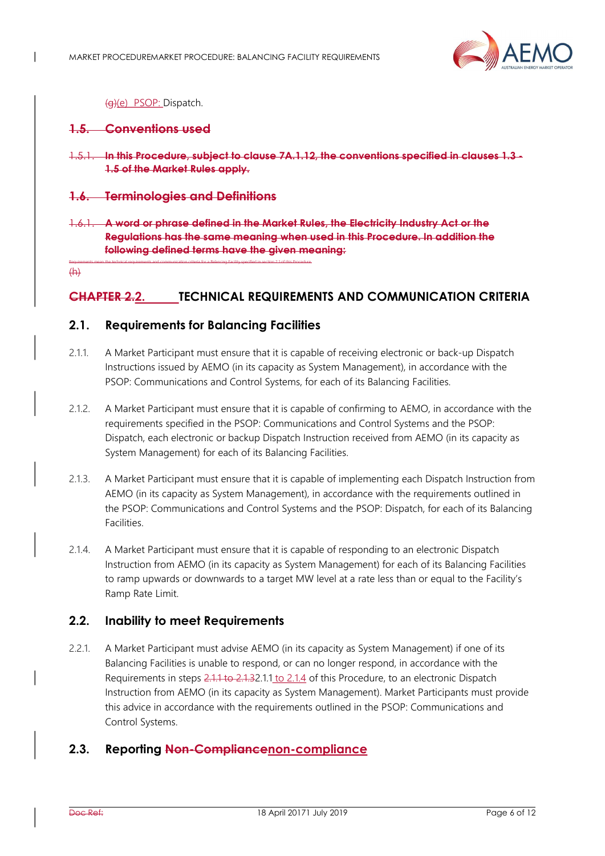

(g)(e) PSOP: Dispatch.

### 1.5. Conventions used

1.5.1. In this Procedure, subject to clause 7A.1.12, the conventions specified in clauses 1.3 - 1.5 of the Market Rules apply.

#### 1.6. Terminologies and Definitions

1.6.1. A word or phrase defined in the Market Rules, the Electricity Industry Act or the Regulations has the same meaning when used in this Procedure. In addition the following defined terms have the given meaning:

 $(H)$ 

## CHAPTER 2.2. TECHNICAL REQUIREMENTS AND COMMUNICATION CRITERIA

## 2.1. Requirements for Balancing Facilities

Requirements mean the technical requirements and communication criteria for a Balancing Facility specified in section 2.1 of this Procedure.

- 2.1.1. A Market Participant must ensure that it is capable of receiving electronic or back-up Dispatch Instructions issued by AEMO (in its capacity as System Management), in accordance with the PSOP: Communications and Control Systems, for each of its Balancing Facilities.
- 2.1.2. A Market Participant must ensure that it is capable of confirming to AEMO, in accordance with the requirements specified in the PSOP: Communications and Control Systems and the PSOP: Dispatch, each electronic or backup Dispatch Instruction received from AEMO (in its capacity as System Management) for each of its Balancing Facilities.
- 2.1.3. A Market Participant must ensure that it is capable of implementing each Dispatch Instruction from AEMO (in its capacity as System Management), in accordance with the requirements outlined in the PSOP: Communications and Control Systems and the PSOP: Dispatch, for each of its Balancing Facilities.
- 2.1.4. A Market Participant must ensure that it is capable of responding to an electronic Dispatch Instruction from AEMO (in its capacity as System Management) for each of its Balancing Facilities to ramp upwards or downwards to a target MW level at a rate less than or equal to the Facility's Ramp Rate Limit.

## 2.2. Inability to meet Requirements

2.2.1. A Market Participant must advise AEMO (in its capacity as System Management) if one of its Balancing Facilities is unable to respond, or can no longer respond, in accordance with the Requirements in steps 2.1.1 to 2.1.32.1.1 to 2.1.4 of this Procedure, to an electronic Dispatch Instruction from AEMO (in its capacity as System Management). Market Participants must provide this advice in accordance with the requirements outlined in the PSOP: Communications and Control Systems.

## 2.3. Reporting Non-Compliancenon-compliance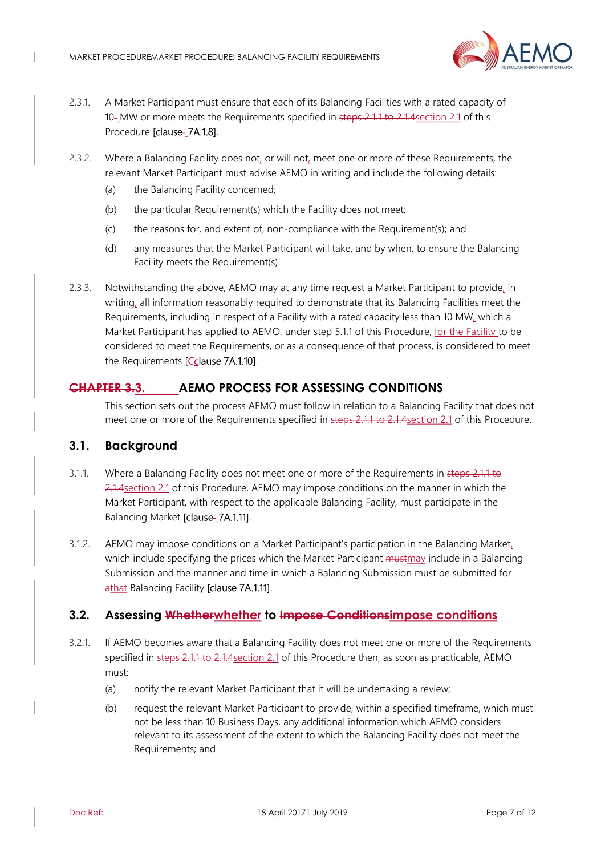

- 2.3.1. A Market Participant must ensure that each of its Balancing Facilities with a rated capacity of 10- MW or more meets the Requirements specified in steps 2.1.1 to 2.1.4 section 2.1 of this Procedure [clause-7A.1.8].
- 2.3.2. Where a Balancing Facility does not, or will not, meet one or more of these Requirements, the relevant Market Participant must advise AEMO in writing and include the following details:
	- (a) the Balancing Facility concerned;
	- (b) the particular Requirement(s) which the Facility does not meet;
	- (c) the reasons for, and extent of, non-compliance with the Requirement(s); and
	- (d) any measures that the Market Participant will take, and by when, to ensure the Balancing Facility meets the Requirement(s).
- 2.3.3. Notwithstanding the above, AEMO may at any time request a Market Participant to provide, in writing, all information reasonably required to demonstrate that its Balancing Facilities meet the Requirements, including in respect of a Facility with a rated capacity less than 10 MW, which a Market Participant has applied to AEMO, under step 5.1.1 of this Procedure, for the Facility to be considered to meet the Requirements, or as a consequence of that process, is considered to meet the Requirements [Cclause 7A.1.10].

## CHAPTER 3.3. AEMO PROCESS FOR ASSESSING CONDITIONS

This section sets out the process AEMO must follow in relation to a Balancing Facility that does not meet one or more of the Requirements specified in steps 2.1.1 to 2.1.4 section 2.1 of this Procedure.

## 3.1. Background

 $\overline{\phantom{a}}$ 

- 3.1.1. Where a Balancing Facility does not meet one or more of the Requirements in steps 2.1.1 to 2.1.4section 2.1 of this Procedure, AEMO may impose conditions on the manner in which the Market Participant, with respect to the applicable Balancing Facility, must participate in the Balancing Market [clause-\_7A.1.11].
- 3.1.2. AEMO may impose conditions on a Market Participant's participation in the Balancing Market, which include specifying the prices which the Market Participant must may include in a Balancing Submission and the manner and time in which a Balancing Submission must be submitted for athat Balancing Facility [clause 7A.1.11].

## 3.2. Assessing Whetherwhether to Impose Conditionsimpose conditions

- 3.2.1. If AEMO becomes aware that a Balancing Facility does not meet one or more of the Requirements specified in steps 2.1.1 to 2.1.4section 2.1 of this Procedure then, as soon as practicable, AEMO must:
	- (a) notify the relevant Market Participant that it will be undertaking a review;
	- (b) request the relevant Market Participant to provide, within a specified timeframe, which must not be less than 10 Business Days, any additional information which AEMO considers relevant to its assessment of the extent to which the Balancing Facility does not meet the Requirements; and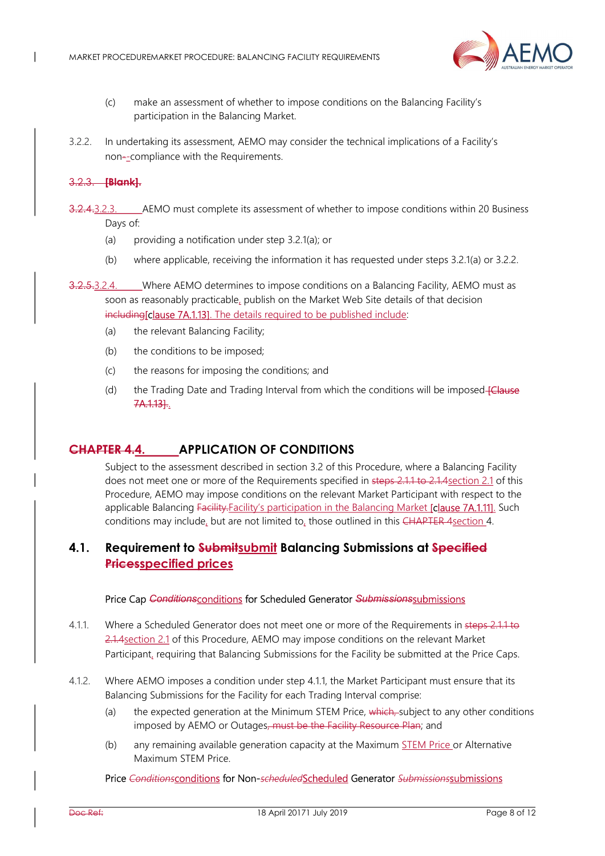

- (c) make an assessment of whether to impose conditions on the Balancing Facility's participation in the Balancing Market.
- 3.2.2. In undertaking its assessment, AEMO may consider the technical implications of a Facility's non--compliance with the Requirements.

#### 3.2.3. [Blank].

- 3.2.4.3.2.3. AEMO must complete its assessment of whether to impose conditions within 20 Business Days of:
	- (a) providing a notification under step 3.2.1(a); or
	- (b) where applicable, receiving the information it has requested under steps 3.2.1(a) or 3.2.2.
- 3.2.5.3.2.4. Where AEMO determines to impose conditions on a Balancing Facility, AEMO must as soon as reasonably practicable, publish on the Market Web Site details of that decision including[clause 7A.1.13]. The details required to be published include:
	- (a) the relevant Balancing Facility;
	- (b) the conditions to be imposed;
	- (c) the reasons for imposing the conditions; and
	- (d) the Trading Date and Trading Interval from which the conditions will be imposed-**[Clause** 7A.1.13]..

## CHAPTER 4.4. APPLICATION OF CONDITIONS

Subject to the assessment described in section 3.2 of this Procedure, where a Balancing Facility does not meet one or more of the Requirements specified in steps 2.1.1 to 2.1.4 section 2.1 of this Procedure, AEMO may impose conditions on the relevant Market Participant with respect to the applicable Balancing Facility.Facility's participation in the Balancing Market [clause 7A.1.11]. Such conditions may include, but are not limited to, those outlined in this CHAPTER 4section 4.

## 4.1. Requirement to Submitsubmit Balancing Submissions at Specified Pricesspecified prices

#### Price Cap Conditionsconditions for Scheduled Generator Submissionssubmissions

- 4.1.1. Where a Scheduled Generator does not meet one or more of the Requirements in steps 2.1.1 to 2.1.4section 2.1 of this Procedure, AEMO may impose conditions on the relevant Market Participant, requiring that Balancing Submissions for the Facility be submitted at the Price Caps.
- 4.1.2. Where AEMO imposes a condition under step 4.1.1, the Market Participant must ensure that its Balancing Submissions for the Facility for each Trading Interval comprise:
	- (a) the expected generation at the Minimum STEM Price,  $\frac{1}{2}$  which, subject to any other conditions imposed by AEMO or Outages, must be the Facility Resource Plan; and
	- (b) any remaining available generation capacity at the Maximum STEM Price or Alternative Maximum STEM Price.

#### Price Conditionsconditions for Non-scheduledScheduled Generator Submissionssubmissions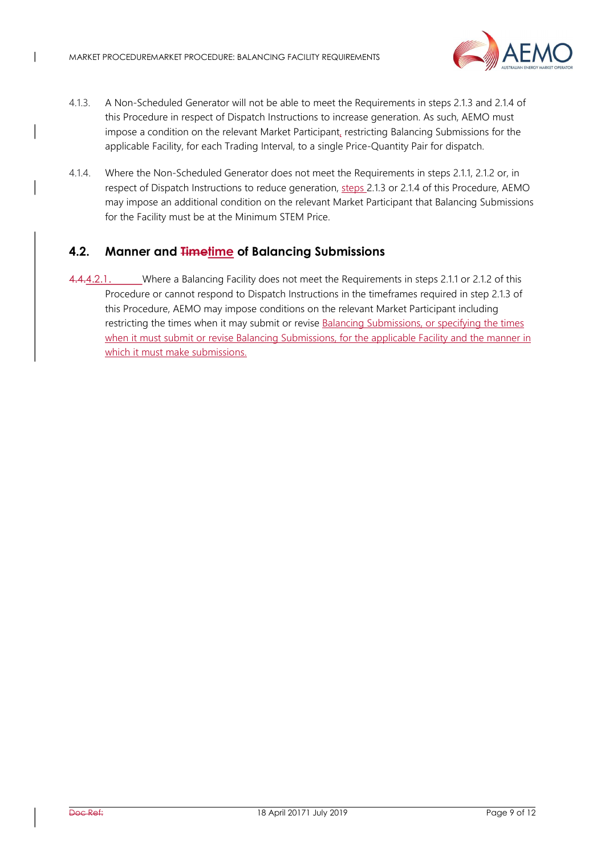$\overline{\phantom{a}}$ 



- 4.1.3. A Non-Scheduled Generator will not be able to meet the Requirements in steps 2.1.3 and 2.1.4 of this Procedure in respect of Dispatch Instructions to increase generation. As such, AEMO must impose a condition on the relevant Market Participant, restricting Balancing Submissions for the applicable Facility, for each Trading Interval, to a single Price-Quantity Pair for dispatch.
- 4.1.4. Where the Non-Scheduled Generator does not meet the Requirements in steps 2.1.1, 2.1.2 or, in respect of Dispatch Instructions to reduce generation, steps 2.1.3 or 2.1.4 of this Procedure, AEMO may impose an additional condition on the relevant Market Participant that Balancing Submissions for the Facility must be at the Minimum STEM Price.

# 4.2. Manner and Timetime of Balancing Submissions

4.4.4.2.1. Where a Balancing Facility does not meet the Requirements in steps 2.1.1 or 2.1.2 of this Procedure or cannot respond to Dispatch Instructions in the timeframes required in step 2.1.3 of this Procedure, AEMO may impose conditions on the relevant Market Participant including restricting the times when it may submit or revise Balancing Submissions, or specifying the times when it must submit or revise Balancing Submissions, for the applicable Facility and the manner in which it must make submissions.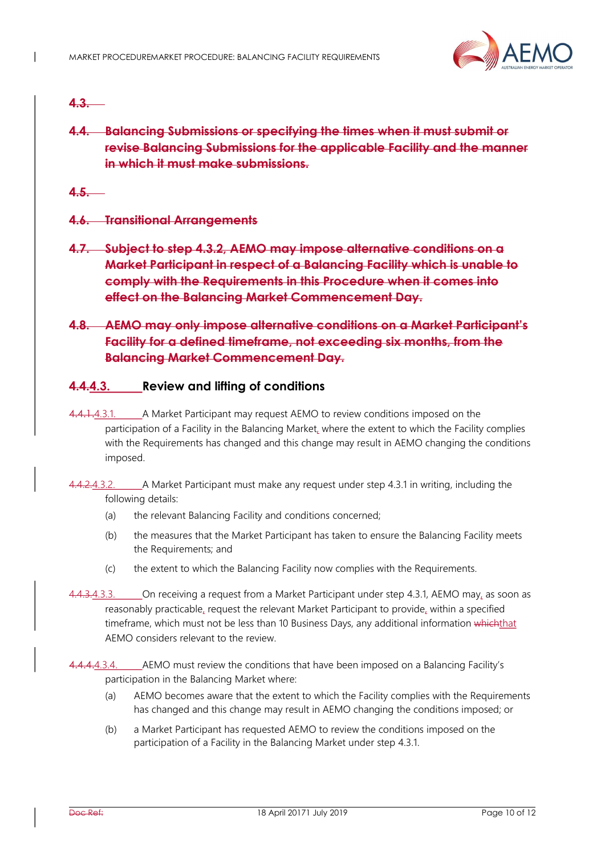

## $4.3.$

4.4. Balancing Submissions or specifying the times when it must submit or revise Balancing Submissions for the applicable Facility and the manner in which it must make submissions.

 $4.5.$ 

- 4.6. Transitional Arrangements
- 4.7. Subject to step 4.3.2, AEMO may impose alternative conditions on a Market Participant in respect of a Balancing Facility which is unable to comply with the Requirements in this Procedure when it comes into effect on the Balancing Market Commencement Day.
- 4.8. AEMO may only impose alternative conditions on a Market Participant's Facility for a defined timeframe, not exceeding six months, from the Balancing Market Commencement Day.

### 4.4.4.3. Review and lifting of conditions

- 4.4.1.4.3.1. A Market Participant may request AEMO to review conditions imposed on the participation of a Facility in the Balancing Market, where the extent to which the Facility complies with the Requirements has changed and this change may result in AEMO changing the conditions imposed.
- 4.4.2.4.3.2. A Market Participant must make any request under step 4.3.1 in writing, including the following details:
	- (a) the relevant Balancing Facility and conditions concerned;
	- (b) the measures that the Market Participant has taken to ensure the Balancing Facility meets the Requirements; and
	- (c) the extent to which the Balancing Facility now complies with the Requirements.
- 4.4.3.4.3.3. On receiving a request from a Market Participant under step 4.3.1, AEMO may, as soon as reasonably practicable, request the relevant Market Participant to provide, within a specified timeframe, which must not be less than 10 Business Days, any additional information whichthat AEMO considers relevant to the review.
- 4.4.4.3.4. AEMO must review the conditions that have been imposed on a Balancing Facility's participation in the Balancing Market where:
	- (a) AEMO becomes aware that the extent to which the Facility complies with the Requirements has changed and this change may result in AEMO changing the conditions imposed; or
	- (b) a Market Participant has requested AEMO to review the conditions imposed on the participation of a Facility in the Balancing Market under step 4.3.1.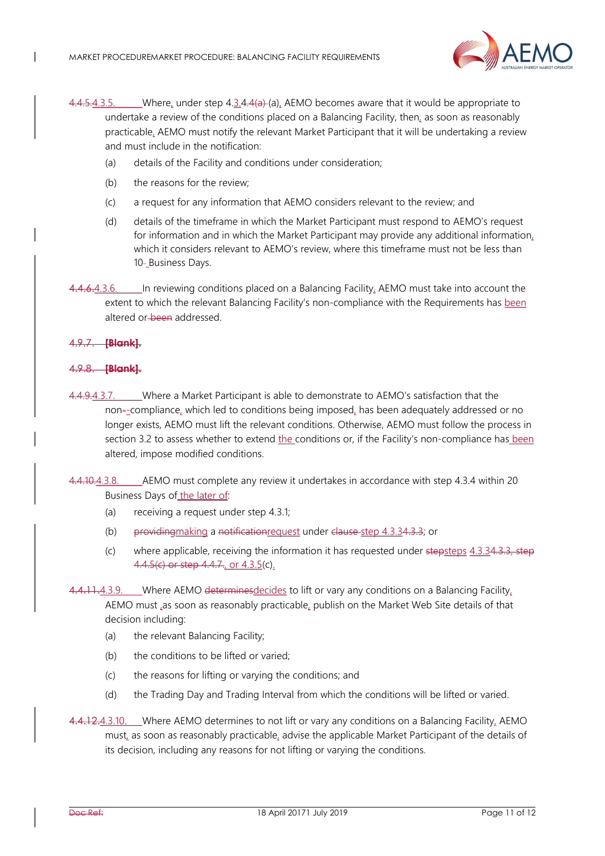

- 4.4.5.4.3.5. Where, under step  $4.3.4.4(a)$  (a), AEMO becomes aware that it would be appropriate to undertake a review of the conditions placed on a Balancing Facility, then, as soon as reasonably practicable, AEMO must notify the relevant Market Participant that it will be undertaking a review and must include in the notification:
	- (a) details of the Facility and conditions under consideration;
	- (b) the reasons for the review;
	- (c) a request for any information that AEMO considers relevant to the review; and
	- (d) details of the timeframe in which the Market Participant must respond to AEMO's request for information and in which the Market Participant may provide any additional information, which it considers relevant to AEMO's review, where this timeframe must not be less than 10- Business Days.
- 4.4.6.4.3.6. In reviewing conditions placed on a Balancing Facility, AEMO must take into account the extent to which the relevant Balancing Facility's non-compliance with the Requirements has been altered or been addressed.

#### 4.9.7. [Blank].

 $\overline{\phantom{a}}$ 

#### .9.8. **[Blank].**

- 4.4.9.4.3.7. Where a Market Participant is able to demonstrate to AEMO's satisfaction that the non--compliance, which led to conditions being imposed, has been adequately addressed or no longer exists, AEMO must lift the relevant conditions. Otherwise, AEMO must follow the process in section 3.2 to assess whether to extend the conditions or, if the Facility's non-compliance has been altered, impose modified conditions.
- 4.4.10.4.3.8. AEMO must complete any review it undertakes in accordance with step 4.3.4 within 20 Business Days of the later of:
	- (a) receiving a request under step 4.3.1;
	- (b) providing making a notification request under clause step  $4.3.34.3.3$ ; or
	- (c) where applicable, receiving the information it has requested under stepsteps  $4.3.34.3.3$ , step 4.4.5(c) or step 4.4.7, or 4.3.5(c).
- 4.4.11.4.3.9. Where AEMO determines decides to lift or vary any conditions on a Balancing Facility. AEMO must ,as soon as reasonably practicable, publish on the Market Web Site details of that decision including:
	- (a) the relevant Balancing Facility;
	- (b) the conditions to be lifted or varied;
	- (c) the reasons for lifting or varying the conditions; and
	- (d) the Trading Day and Trading Interval from which the conditions will be lifted or varied.
- 4.4.12.4.3.10. Where AEMO determines to not lift or vary any conditions on a Balancing Facility, AEMO must, as soon as reasonably practicable, advise the applicable Market Participant of the details of its decision, including any reasons for not lifting or varying the conditions.